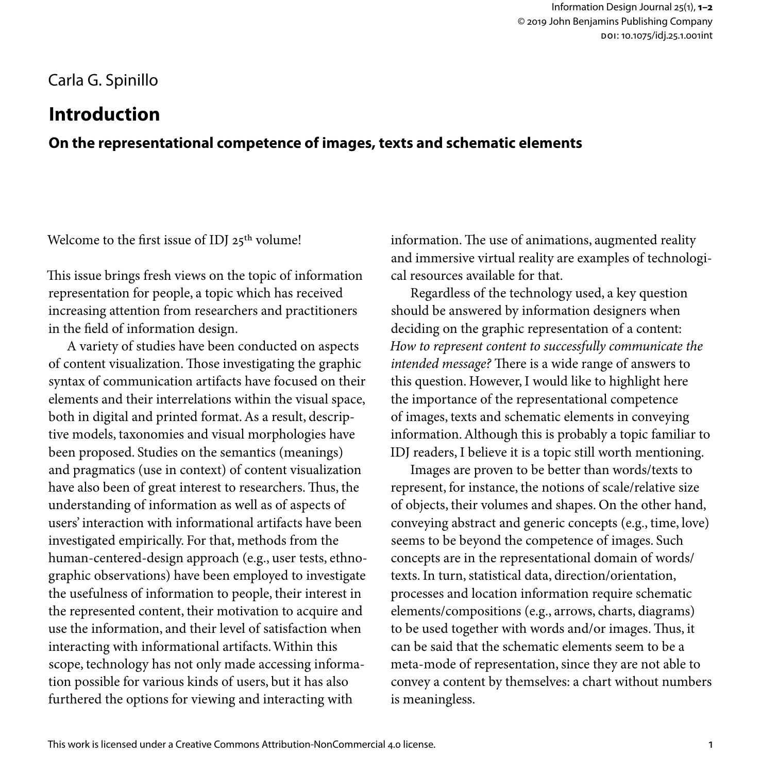## Carla G. Spinillo

## **Introduction**

**On the representational competence of images, texts and schematic elements**

Welcome to the first issue of IDJ 25<sup>th</sup> volume!

This issue brings fresh views on the topic of information representation for people, a topic which has received increasing attention from researchers and practitioners in the field of information design.

A variety of studies have been conducted on aspects of content visualization. Those investigating the graphic syntax of communication artifacts have focused on their elements and their interrelations within the visual space, both in digital and printed format. As a result, descriptive models, taxonomies and visual morphologies have been proposed. Studies on the semantics (meanings) and pragmatics (use in context) of content visualization have also been of great interest to researchers. Thus, the understanding of information as well as of aspects of users' interaction with informational artifacts have been investigated empirically. For that, methods from the human-centered-design approach (e.g., user tests, ethnographic observations) have been employed to investigate the usefulness of information to people, their interest in the represented content, their motivation to acquire and use the information, and their level of satisfaction when interacting with informational artifacts. Within this scope, technology has not only made accessing information possible for various kinds of users, but it has also furthered the options for viewing and interacting with

information. The use of animations, augmented reality and immersive virtual reality are examples of technological resources available for that.

Regardless of the technology used, a key question should be answered by information designers when deciding on the graphic representation of a content: *How to represent content to successfully communicate the intended message?* There is a wide range of answers to this question. However, I would like to highlight here the importance of the representational competence of images, texts and schematic elements in conveying information. Although this is probably a topic familiar to IDJ readers, I believe it is a topic still worth mentioning.

Images are proven to be better than words/texts to represent, for instance, the notions of scale/relative size of objects, their volumes and shapes. On the other hand, conveying abstract and generic concepts (e.g., time, love) seems to be beyond the competence of images. Such concepts are in the representational domain of words/ texts. In turn, statistical data, direction/orientation, processes and location information require schematic elements/compositions (e.g., arrows, charts, diagrams) to be used together with words and/or images. Thus, it can be said that the schematic elements seem to be a meta-mode of representation, since they are not able to convey a content by themselves: a chart without numbers is meaningless.